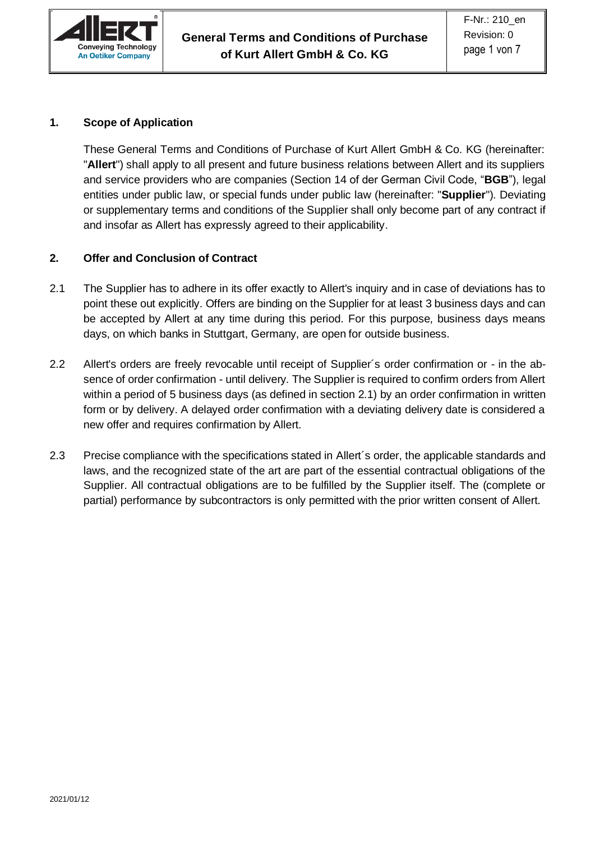

# **1. Scope of Application**

These General Terms and Conditions of Purchase of Kurt Allert GmbH & Co. KG (hereinafter: "**Allert**") shall apply to all present and future business relations between Allert and its suppliers and service providers who are companies (Section 14 of der German Civil Code, "**BGB**"), legal entities under public law, or special funds under public law (hereinafter: "**Supplier**"). Deviating or supplementary terms and conditions of the Supplier shall only become part of any contract if and insofar as Allert has expressly agreed to their applicability.

## **2. Offer and Conclusion of Contract**

- 2.1 The Supplier has to adhere in its offer exactly to Allert's inquiry and in case of deviations has to point these out explicitly. Offers are binding on the Supplier for at least 3 business days and can be accepted by Allert at any time during this period. For this purpose, business days means days, on which banks in Stuttgart, Germany, are open for outside business.
- 2.2 Allert's orders are freely revocable until receipt of Supplier´s order confirmation or in the absence of order confirmation - until delivery. The Supplier is required to confirm orders from Allert within a period of 5 business days (as defined in section 2.1) by an order confirmation in written form or by delivery. A delayed order confirmation with a deviating delivery date is considered a new offer and requires confirmation by Allert.
- 2.3 Precise compliance with the specifications stated in Allert´s order, the applicable standards and laws, and the recognized state of the art are part of the essential contractual obligations of the Supplier. All contractual obligations are to be fulfilled by the Supplier itself. The (complete or partial) performance by subcontractors is only permitted with the prior written consent of Allert.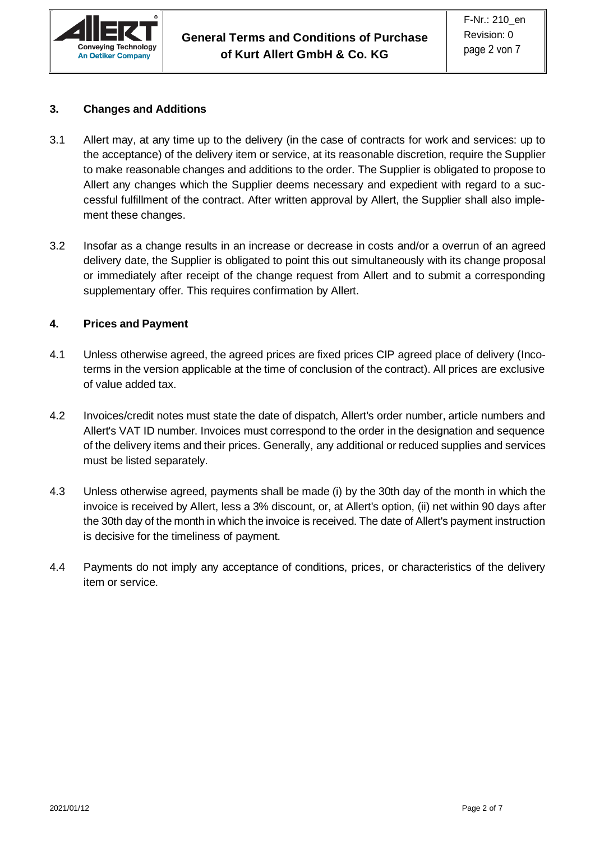

#### **3. Changes and Additions**

- 3.1 Allert may, at any time up to the delivery (in the case of contracts for work and services: up to the acceptance) of the delivery item or service, at its reasonable discretion, require the Supplier to make reasonable changes and additions to the order. The Supplier is obligated to propose to Allert any changes which the Supplier deems necessary and expedient with regard to a successful fulfillment of the contract. After written approval by Allert, the Supplier shall also implement these changes.
- 3.2 Insofar as a change results in an increase or decrease in costs and/or a overrun of an agreed delivery date, the Supplier is obligated to point this out simultaneously with its change proposal or immediately after receipt of the change request from Allert and to submit a corresponding supplementary offer. This requires confirmation by Allert.

### **4. Prices and Payment**

- 4.1 Unless otherwise agreed, the agreed prices are fixed prices CIP agreed place of delivery (Incoterms in the version applicable at the time of conclusion of the contract). All prices are exclusive of value added tax.
- 4.2 Invoices/credit notes must state the date of dispatch, Allert's order number, article numbers and Allert's VAT ID number. Invoices must correspond to the order in the designation and sequence of the delivery items and their prices. Generally, any additional or reduced supplies and services must be listed separately.
- 4.3 Unless otherwise agreed, payments shall be made (i) by the 30th day of the month in which the invoice is received by Allert, less a 3% discount, or, at Allert's option, (ii) net within 90 days after the 30th day of the month in which the invoice is received. The date of Allert's payment instruction is decisive for the timeliness of payment.
- 4.4 Payments do not imply any acceptance of conditions, prices, or characteristics of the delivery item or service.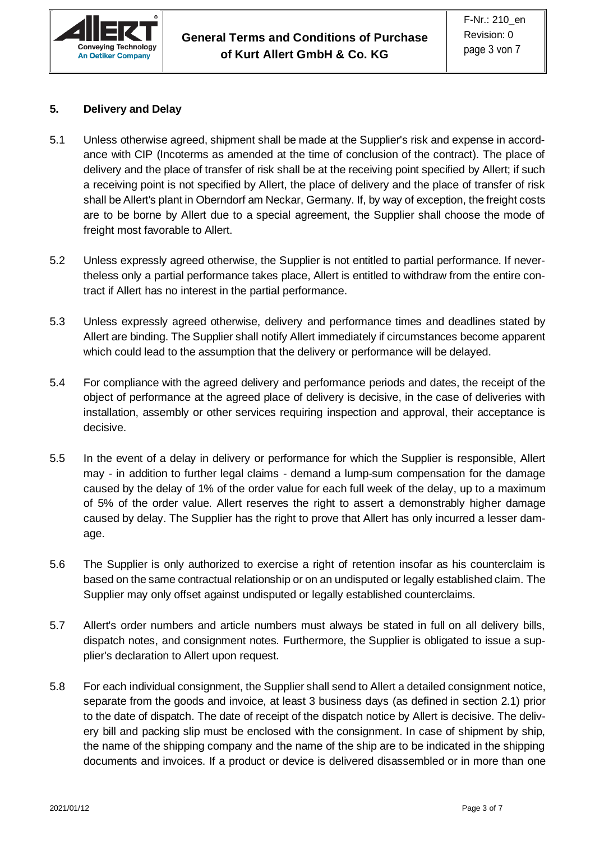

### **5. Delivery and Delay**

- 5.1 Unless otherwise agreed, shipment shall be made at the Supplier's risk and expense in accordance with CIP (Incoterms as amended at the time of conclusion of the contract). The place of delivery and the place of transfer of risk shall be at the receiving point specified by Allert; if such a receiving point is not specified by Allert, the place of delivery and the place of transfer of risk shall be Allert's plant in Oberndorf am Neckar, Germany. If, by way of exception, the freight costs are to be borne by Allert due to a special agreement, the Supplier shall choose the mode of freight most favorable to Allert.
- 5.2 Unless expressly agreed otherwise, the Supplier is not entitled to partial performance. If nevertheless only a partial performance takes place, Allert is entitled to withdraw from the entire contract if Allert has no interest in the partial performance.
- 5.3 Unless expressly agreed otherwise, delivery and performance times and deadlines stated by Allert are binding. The Supplier shall notify Allert immediately if circumstances become apparent which could lead to the assumption that the delivery or performance will be delayed.
- 5.4 For compliance with the agreed delivery and performance periods and dates, the receipt of the object of performance at the agreed place of delivery is decisive, in the case of deliveries with installation, assembly or other services requiring inspection and approval, their acceptance is decisive.
- 5.5 In the event of a delay in delivery or performance for which the Supplier is responsible, Allert may - in addition to further legal claims - demand a lump-sum compensation for the damage caused by the delay of 1% of the order value for each full week of the delay, up to a maximum of 5% of the order value. Allert reserves the right to assert a demonstrably higher damage caused by delay. The Supplier has the right to prove that Allert has only incurred a lesser damage.
- 5.6 The Supplier is only authorized to exercise a right of retention insofar as his counterclaim is based on the same contractual relationship or on an undisputed or legally established claim. The Supplier may only offset against undisputed or legally established counterclaims.
- 5.7 Allert's order numbers and article numbers must always be stated in full on all delivery bills, dispatch notes, and consignment notes. Furthermore, the Supplier is obligated to issue a supplier's declaration to Allert upon request.
- 5.8 For each individual consignment, the Supplier shall send to Allert a detailed consignment notice, separate from the goods and invoice, at least 3 business days (as defined in section 2.1) prior to the date of dispatch. The date of receipt of the dispatch notice by Allert is decisive. The delivery bill and packing slip must be enclosed with the consignment. In case of shipment by ship, the name of the shipping company and the name of the ship are to be indicated in the shipping documents and invoices. If a product or device is delivered disassembled or in more than one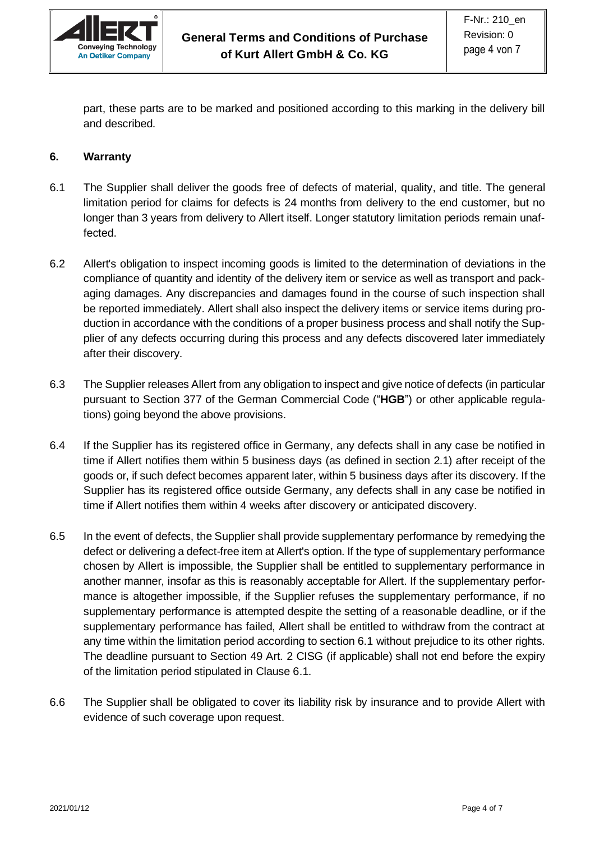

part, these parts are to be marked and positioned according to this marking in the delivery bill and described.

### **6. Warranty**

- 6.1 The Supplier shall deliver the goods free of defects of material, quality, and title. The general limitation period for claims for defects is 24 months from delivery to the end customer, but no longer than 3 years from delivery to Allert itself. Longer statutory limitation periods remain unaffected.
- 6.2 Allert's obligation to inspect incoming goods is limited to the determination of deviations in the compliance of quantity and identity of the delivery item or service as well as transport and packaging damages. Any discrepancies and damages found in the course of such inspection shall be reported immediately. Allert shall also inspect the delivery items or service items during production in accordance with the conditions of a proper business process and shall notify the Supplier of any defects occurring during this process and any defects discovered later immediately after their discovery.
- 6.3 The Supplier releases Allert from any obligation to inspect and give notice of defects (in particular pursuant to Section 377 of the German Commercial Code ("**HGB**") or other applicable regulations) going beyond the above provisions.
- 6.4 If the Supplier has its registered office in Germany, any defects shall in any case be notified in time if Allert notifies them within 5 business days (as defined in section 2.1) after receipt of the goods or, if such defect becomes apparent later, within 5 business days after its discovery. If the Supplier has its registered office outside Germany, any defects shall in any case be notified in time if Allert notifies them within 4 weeks after discovery or anticipated discovery.
- 6.5 In the event of defects, the Supplier shall provide supplementary performance by remedying the defect or delivering a defect-free item at Allert's option. If the type of supplementary performance chosen by Allert is impossible, the Supplier shall be entitled to supplementary performance in another manner, insofar as this is reasonably acceptable for Allert. If the supplementary performance is altogether impossible, if the Supplier refuses the supplementary performance, if no supplementary performance is attempted despite the setting of a reasonable deadline, or if the supplementary performance has failed, Allert shall be entitled to withdraw from the contract at any time within the limitation period according to section 6.1 without prejudice to its other rights. The deadline pursuant to Section 49 Art. 2 CISG (if applicable) shall not end before the expiry of the limitation period stipulated in Clause 6.1.
- 6.6 The Supplier shall be obligated to cover its liability risk by insurance and to provide Allert with evidence of such coverage upon request.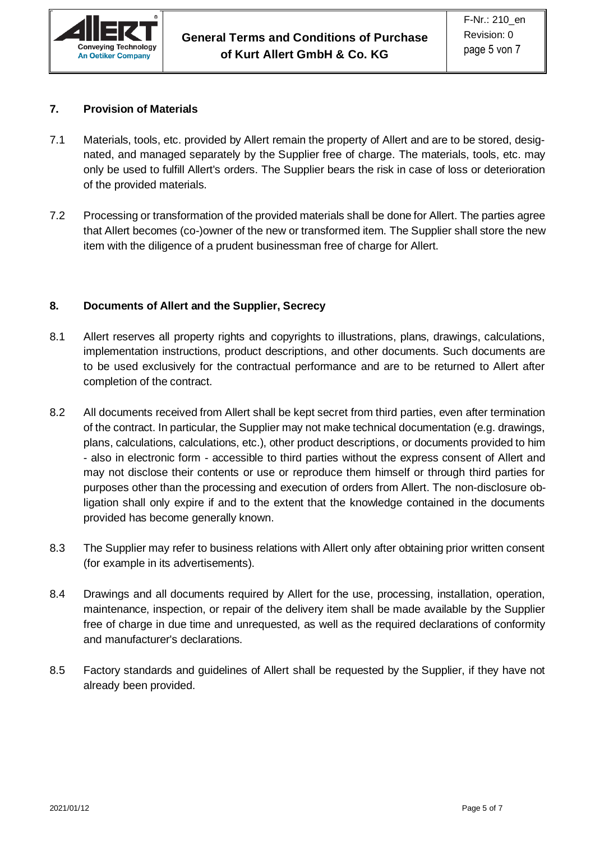

### **7. Provision of Materials**

- 7.1 Materials, tools, etc. provided by Allert remain the property of Allert and are to be stored, designated, and managed separately by the Supplier free of charge. The materials, tools, etc. may only be used to fulfill Allert's orders. The Supplier bears the risk in case of loss or deterioration of the provided materials.
- 7.2 Processing or transformation of the provided materials shall be done for Allert. The parties agree that Allert becomes (co-)owner of the new or transformed item. The Supplier shall store the new item with the diligence of a prudent businessman free of charge for Allert.

### **8. Documents of Allert and the Supplier, Secrecy**

- 8.1 Allert reserves all property rights and copyrights to illustrations, plans, drawings, calculations, implementation instructions, product descriptions, and other documents. Such documents are to be used exclusively for the contractual performance and are to be returned to Allert after completion of the contract.
- 8.2 All documents received from Allert shall be kept secret from third parties, even after termination of the contract. In particular, the Supplier may not make technical documentation (e.g. drawings, plans, calculations, calculations, etc.), other product descriptions, or documents provided to him - also in electronic form - accessible to third parties without the express consent of Allert and may not disclose their contents or use or reproduce them himself or through third parties for purposes other than the processing and execution of orders from Allert. The non-disclosure obligation shall only expire if and to the extent that the knowledge contained in the documents provided has become generally known.
- 8.3 The Supplier may refer to business relations with Allert only after obtaining prior written consent (for example in its advertisements).
- 8.4 Drawings and all documents required by Allert for the use, processing, installation, operation, maintenance, inspection, or repair of the delivery item shall be made available by the Supplier free of charge in due time and unrequested, as well as the required declarations of conformity and manufacturer's declarations.
- 8.5 Factory standards and guidelines of Allert shall be requested by the Supplier, if they have not already been provided.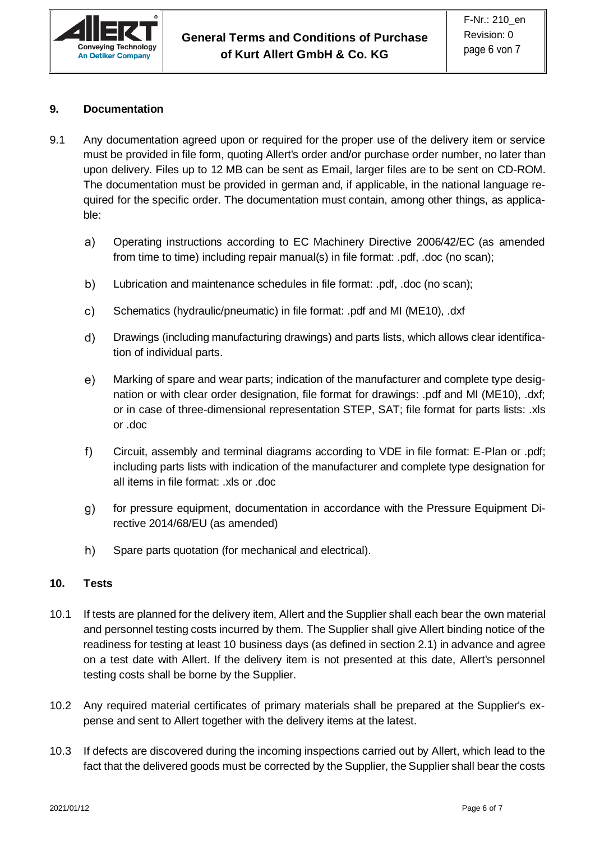

## **9. Documentation**

- 9.1 Any documentation agreed upon or required for the proper use of the delivery item or service must be provided in file form, quoting Allert's order and/or purchase order number, no later than upon delivery. Files up to 12 MB can be sent as Email, larger files are to be sent on CD-ROM. The documentation must be provided in german and, if applicable, in the national language required for the specific order. The documentation must contain, among other things, as applicable:
	- Operating instructions according to EC Machinery Directive 2006/42/EC (as amended a) from time to time) including repair manual(s) in file format: .pdf, .doc (no scan);
	- b) Lubrication and maintenance schedules in file format: .pdf, .doc (no scan);
	- Schematics (hydraulic/pneumatic) in file format: .pdf and MI (ME10), .dxf c)
	- d) Drawings (including manufacturing drawings) and parts lists, which allows clear identification of individual parts.
	- e) Marking of spare and wear parts; indication of the manufacturer and complete type designation or with clear order designation, file format for drawings: .pdf and MI (ME10), .dxf; or in case of three-dimensional representation STEP, SAT; file format for parts lists: .xls or .doc
	- $f$ ) Circuit, assembly and terminal diagrams according to VDE in file format: E-Plan or .pdf; including parts lists with indication of the manufacturer and complete type designation for all items in file format: .xls or .doc
	- $g)$ for pressure equipment, documentation in accordance with the Pressure Equipment Directive 2014/68/EU (as amended)
	- h) Spare parts quotation (for mechanical and electrical).

### **10. Tests**

- 10.1 If tests are planned for the delivery item, Allert and the Supplier shall each bear the own material and personnel testing costs incurred by them. The Supplier shall give Allert binding notice of the readiness for testing at least 10 business days (as defined in section 2.1) in advance and agree on a test date with Allert. If the delivery item is not presented at this date, Allert's personnel testing costs shall be borne by the Supplier.
- 10.2 Any required material certificates of primary materials shall be prepared at the Supplier's expense and sent to Allert together with the delivery items at the latest.
- 10.3 If defects are discovered during the incoming inspections carried out by Allert, which lead to the fact that the delivered goods must be corrected by the Supplier, the Supplier shall bear the costs